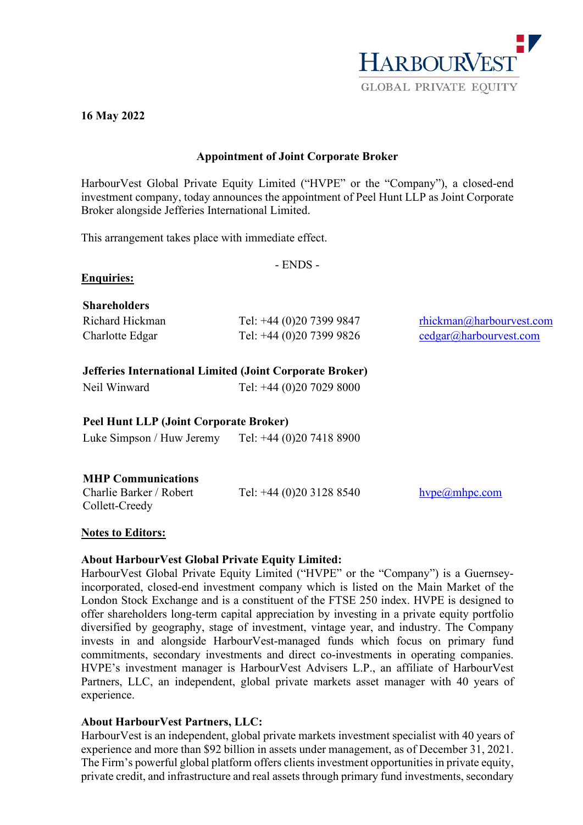

#### **16 May 2022**

### **Appointment of Joint Corporate Broker**

HarbourVest Global Private Equity Limited ("HVPE" or the "Company"), a closed-end investment company, today announces the appointment of Peel Hunt LLP as Joint Corporate Broker alongside Jefferies International Limited.

This arrangement takes place with immediate effect.

- ENDS -

## **Enquiries:**

## **Shareholders**

| Richard Hickman | Tel: +44 (0)20 7399 9847 | rhickman@harbourvest.com |
|-----------------|--------------------------|--------------------------|
| Charlotte Edgar | Tel: +44 (0)20 7399 9826 | cedgar@harbourvest.com   |

## **Jefferies International Limited (Joint Corporate Broker)**

| Neil Winward | Tel: $+44$ (0)20 7029 8000 |
|--------------|----------------------------|
|              |                            |

# **Peel Hunt LLP (Joint Corporate Broker)**

Luke Simpson / Huw Jeremy Tel: +44 (0)20 7418 8900

## **MHP Communications**

| Charlie Barker / Robert | Tel: $+44$ (0)20 3128 8540 | hvoe(a)mhpo.com |
|-------------------------|----------------------------|-----------------|
| Collett-Creedy          |                            |                 |

## **Notes to Editors:**

## **About HarbourVest Global Private Equity Limited:**

HarbourVest Global Private Equity Limited ("HVPE" or the "Company") is a Guernseyincorporated, closed-end investment company which is listed on the Main Market of the London Stock Exchange and is a constituent of the FTSE 250 index. HVPE is designed to offer shareholders long-term capital appreciation by investing in a private equity portfolio diversified by geography, stage of investment, vintage year, and industry. The Company invests in and alongside HarbourVest-managed funds which focus on primary fund commitments, secondary investments and direct co-investments in operating companies. HVPE's investment manager is HarbourVest Advisers L.P., an affiliate of HarbourVest Partners, LLC, an independent, global private markets asset manager with 40 years of experience.

## **About HarbourVest Partners, LLC:**

HarbourVest is an independent, global private markets investment specialist with 40 years of experience and more than \$92 billion in assets under management, as of December 31, 2021. The Firm's powerful global platform offers clients investment opportunities in private equity, private credit, and infrastructure and real assets through primary fund investments, secondary